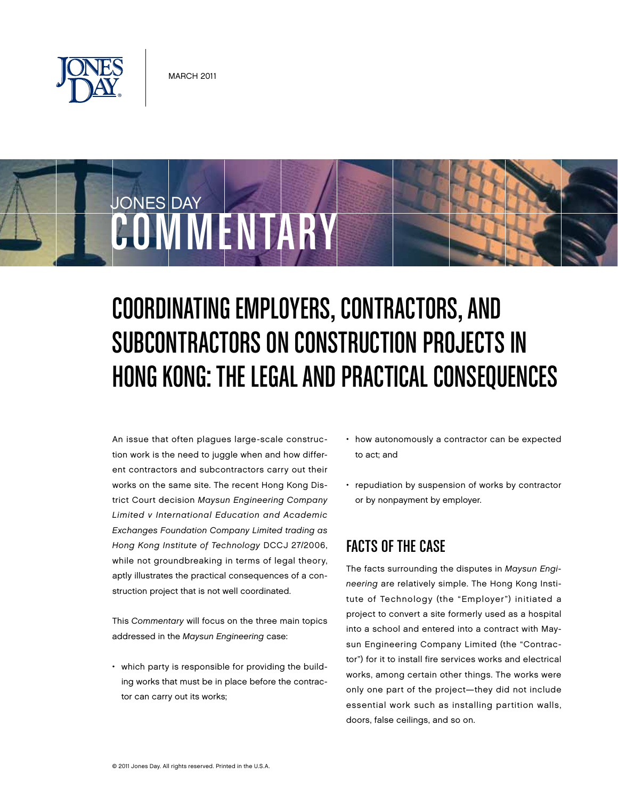

COMMENTARY

JONES DAY

# Coordinating Employers, Contractors, and SUBCONTRACTORS ON CONSTRUCTION PROJECTS IN Hong Kong: The Legal and Practical Consequences

An issue that often plagues large-scale construction work is the need to juggle when and how different contractors and subcontractors carry out their works on the same site. The recent Hong Kong District Court decision Maysun Engineering Company Limited v International Education and Academic Exchanges Foundation Company Limited trading as Hong Kong Institute of Technology DCCJ 27/2006, while not groundbreaking in terms of legal theory, aptly illustrates the practical consequences of a construction project that is not well coordinated.

This Commentary will focus on the three main topics addressed in the Maysun Engineering case:

• which party is responsible for providing the building works that must be in place before the contractor can carry out its works;

- how autonomously a contractor can be expected to act; and
- repudiation by suspension of works by contractor or by nonpayment by employer.

# Facts of the Case

The facts surrounding the disputes in Maysun Engineering are relatively simple. The Hong Kong Institute of Technology (the "Employer") initiated a project to convert a site formerly used as a hospital into a school and entered into a contract with Maysun Engineering Company Limited (the "Contractor") for it to install fire services works and electrical works, among certain other things. The works were only one part of the project—they did not include essential work such as installing partition walls, doors, false ceilings, and so on.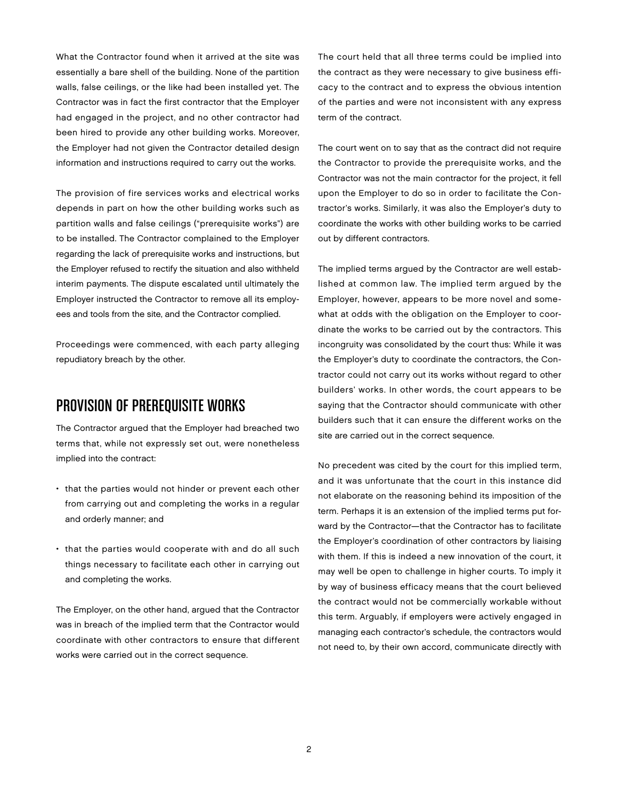What the Contractor found when it arrived at the site was essentially a bare shell of the building. None of the partition walls, false ceilings, or the like had been installed yet. The Contractor was in fact the first contractor that the Employer had engaged in the project, and no other contractor had been hired to provide any other building works. Moreover, the Employer had not given the Contractor detailed design information and instructions required to carry out the works.

The provision of fire services works and electrical works depends in part on how the other building works such as partition walls and false ceilings ("prerequisite works") are to be installed. The Contractor complained to the Employer regarding the lack of prerequisite works and instructions, but the Employer refused to rectify the situation and also withheld interim payments. The dispute escalated until ultimately the Employer instructed the Contractor to remove all its employees and tools from the site, and the Contractor complied.

Proceedings were commenced, with each party alleging repudiatory breach by the other.

#### PROVISION OF PREREQUISITE WORKS

The Contractor argued that the Employer had breached two terms that, while not expressly set out, were nonetheless implied into the contract:

- that the parties would not hinder or prevent each other from carrying out and completing the works in a regular and orderly manner; and
- that the parties would cooperate with and do all such things necessary to facilitate each other in carrying out and completing the works.

The Employer, on the other hand, argued that the Contractor was in breach of the implied term that the Contractor would coordinate with other contractors to ensure that different works were carried out in the correct sequence.

The court held that all three terms could be implied into the contract as they were necessary to give business efficacy to the contract and to express the obvious intention of the parties and were not inconsistent with any express term of the contract.

The court went on to say that as the contract did not require the Contractor to provide the prerequisite works, and the Contractor was not the main contractor for the project, it fell upon the Employer to do so in order to facilitate the Contractor's works. Similarly, it was also the Employer's duty to coordinate the works with other building works to be carried out by different contractors.

The implied terms argued by the Contractor are well established at common law. The implied term argued by the Employer, however, appears to be more novel and somewhat at odds with the obligation on the Employer to coordinate the works to be carried out by the contractors. This incongruity was consolidated by the court thus: While it was the Employer's duty to coordinate the contractors, the Contractor could not carry out its works without regard to other builders' works. In other words, the court appears to be saying that the Contractor should communicate with other builders such that it can ensure the different works on the site are carried out in the correct sequence.

No precedent was cited by the court for this implied term, and it was unfortunate that the court in this instance did not elaborate on the reasoning behind its imposition of the term. Perhaps it is an extension of the implied terms put forward by the Contractor—that the Contractor has to facilitate the Employer's coordination of other contractors by liaising with them. If this is indeed a new innovation of the court, it may well be open to challenge in higher courts. To imply it by way of business efficacy means that the court believed the contract would not be commercially workable without this term. Arguably, if employers were actively engaged in managing each contractor's schedule, the contractors would not need to, by their own accord, communicate directly with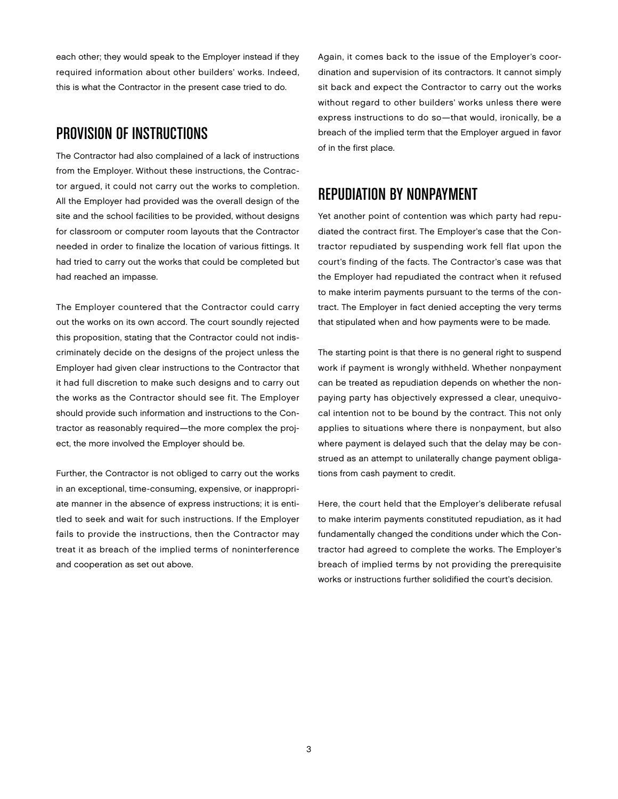each other; they would speak to the Employer instead if they required information about other builders' works. Indeed, this is what the Contractor in the present case tried to do.

#### PROVISION OF INSTRUCTIONS

The Contractor had also complained of a lack of instructions from the Employer. Without these instructions, the Contractor argued, it could not carry out the works to completion. All the Employer had provided was the overall design of the site and the school facilities to be provided, without designs for classroom or computer room layouts that the Contractor needed in order to finalize the location of various fittings. It had tried to carry out the works that could be completed but had reached an impasse.

The Employer countered that the Contractor could carry out the works on its own accord. The court soundly rejected this proposition, stating that the Contractor could not indiscriminately decide on the designs of the project unless the Employer had given clear instructions to the Contractor that it had full discretion to make such designs and to carry out the works as the Contractor should see fit. The Employer should provide such information and instructions to the Contractor as reasonably required—the more complex the project, the more involved the Employer should be.

Further, the Contractor is not obliged to carry out the works in an exceptional, time-consuming, expensive, or inappropriate manner in the absence of express instructions; it is entitled to seek and wait for such instructions. If the Employer fails to provide the instructions, then the Contractor may treat it as breach of the implied terms of noninterference and cooperation as set out above.

Again, it comes back to the issue of the Employer's coordination and supervision of its contractors. It cannot simply sit back and expect the Contractor to carry out the works without regard to other builders' works unless there were express instructions to do so—that would, ironically, be a breach of the implied term that the Employer argued in favor of in the first place.

### Repudiation by Nonpayment

Yet another point of contention was which party had repudiated the contract first. The Employer's case that the Contractor repudiated by suspending work fell flat upon the court's finding of the facts. The Contractor's case was that the Employer had repudiated the contract when it refused to make interim payments pursuant to the terms of the contract. The Employer in fact denied accepting the very terms that stipulated when and how payments were to be made.

The starting point is that there is no general right to suspend work if payment is wrongly withheld. Whether nonpayment can be treated as repudiation depends on whether the nonpaying party has objectively expressed a clear, unequivocal intention not to be bound by the contract. This not only applies to situations where there is nonpayment, but also where payment is delayed such that the delay may be construed as an attempt to unilaterally change payment obligations from cash payment to credit.

Here, the court held that the Employer's deliberate refusal to make interim payments constituted repudiation, as it had fundamentally changed the conditions under which the Contractor had agreed to complete the works. The Employer's breach of implied terms by not providing the prerequisite works or instructions further solidified the court's decision.